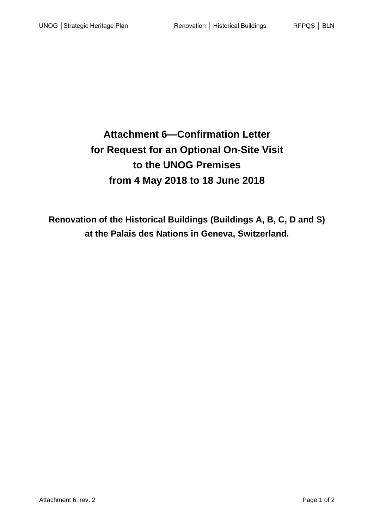**Attachment 6—Confirmation Letter for Request for an Optional On-Site Visit to the UNOG Premises from 4 May 2018 to 18 June 2018**

**Renovation of the Historical Buildings (Buildings A, B, C, D and S) at the Palais des Nations in Geneva, Switzerland.**